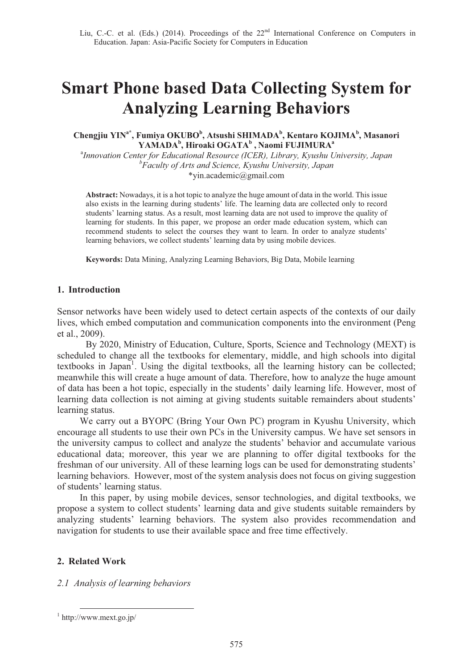# **Smart Phone based Data Collecting System for Analyzing Learning Behaviors**

## Chengjiu YIN<sup>a\*</sup>, Fumiya OKUBO<sup>b</sup>, Atsushi SHIMADA<sup>b</sup>, Kentaro KOJIMA<sup>b</sup>, Masanori  $\mathbf{YAMADA}^\mathbf{b}, \mathbf{Hiroaki OGATA}^\mathbf{b}, \mathbf{Naomi}\ \mathbf{FUJIMURA}^\mathbf{a}$

a *Innovation Center for Educational Resource (ICER), Library, Kyushu University, Japan b Faculty of Arts and Science, Kyushu University, Japan*  \*yin.academic@gmail.com

**Abstract:** Nowadays, it is a hot topic to analyze the huge amount of data in the world. This issue also exists in the learning during students' life. The learning data are collected only to record students' learning status. As a result, most learning data are not used to improve the quality of learning for students. In this paper, we propose an order made education system, which can recommend students to select the courses they want to learn. In order to analyze students' learning behaviors, we collect students' learning data by using mobile devices.

**Keywords:** Data Mining, Analyzing Learning Behaviors, Big Data, Mobile learning

## **1. Introduction**

Sensor networks have been widely used to detect certain aspects of the contexts of our daily lives, which embed computation and communication components into the environment (Peng et al., 2009).

By 2020, Ministry of Education, Culture, Sports, Science and Technology (MEXT) is scheduled to change all the textbooks for elementary, middle, and high schools into digital textbooks in Japan<sup>1</sup>. Using the digital textbooks, all the learning history can be collected; meanwhile this will create a huge amount of data. Therefore, how to analyze the huge amount of data has been a hot topic, especially in the students' daily learning life. However, most of learning data collection is not aiming at giving students suitable remainders about students' learning status.

We carry out a BYOPC (Bring Your Own PC) program in Kyushu University, which encourage all students to use their own PCs in the University campus. We have set sensors in the university campus to collect and analyze the students' behavior and accumulate various educational data; moreover, this year we are planning to offer digital textbooks for the freshman of our university. All of these learning logs can be used for demonstrating students' learning behaviors. However, most of the system analysis does not focus on giving suggestion of students' learning status.

In this paper, by using mobile devices, sensor technologies, and digital textbooks, we propose a system to collect students' learning data and give students suitable remainders by analyzing students' learning behaviors. The system also provides recommendation and navigation for students to use their available space and free time effectively.

## **2. Related Work**

## *2.1 Analysis of learning behaviors*

<sup>1</sup> http://www.mext.go.jp/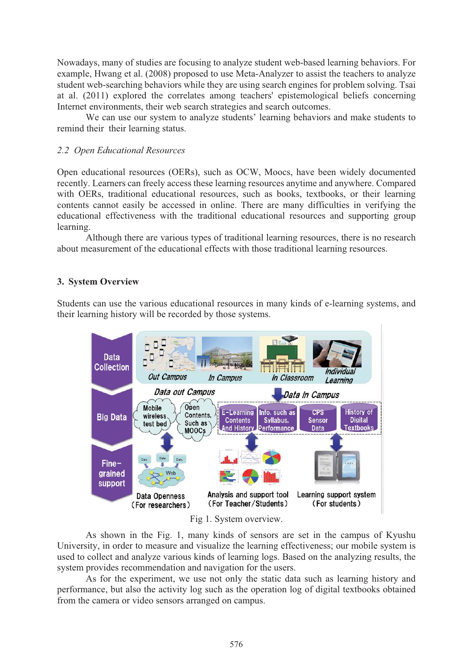Nowadays, many of studies are focusing to analyze student web-based learning behaviors. For example, Hwang et al. (2008) proposed to use Meta-Analyzer to assist the teachers to analyze student web-searching behaviors while they are using search engines for problem solving. Tsai at al. (2011) explored the correlates among teachers' epistemological beliefs concerning Internet environments, their web search strategies and search outcomes.

We can use our system to analyze students' learning behaviors and make students to remind their their learning status.

## *2.2 Open Educational Resources*

Open educational resources (OERs), such as OCW, Moocs, have been widely documented recently. Learners can freely access these learning resources anytime and anywhere. Compared with OERs, traditional educational resources, such as books, textbooks, or their learning contents cannot easily be accessed in online. There are many difficulties in verifying the educational effectiveness with the traditional educational resources and supporting group learning.

Although there are various types of traditional learning resources, there is no research about measurement of the educational effects with those traditional learning resources.

## **3. System Overview**

Students can use the various educational resources in many kinds of e-learning systems, and their learning history will be recorded by those systems.



Fig 1. System overview.

As shown in the Fig. 1, many kinds of sensors are set in the campus of Kyushu University, in order to measure and visualize the learning effectiveness; our mobile system is used to collect and analyze various kinds of learning logs. Based on the analyzing results, the system provides recommendation and navigation for the users.

As for the experiment, we use not only the static data such as learning history and performance, but also the activity log such as the operation log of digital textbooks obtained from the camera or video sensors arranged on campus.